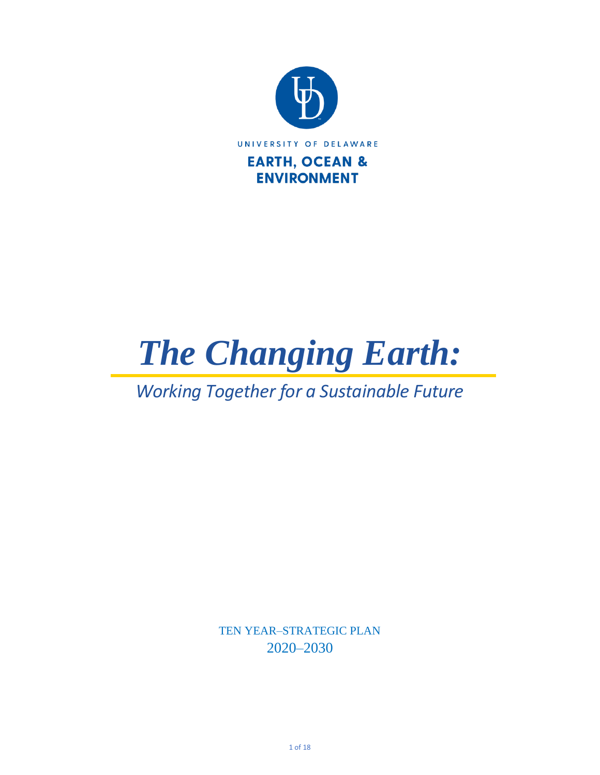

*The Changing Earth:*

# *Working Together for a Sustainable Future*

TEN YEAR–STRATEGIC PLAN 2020–2030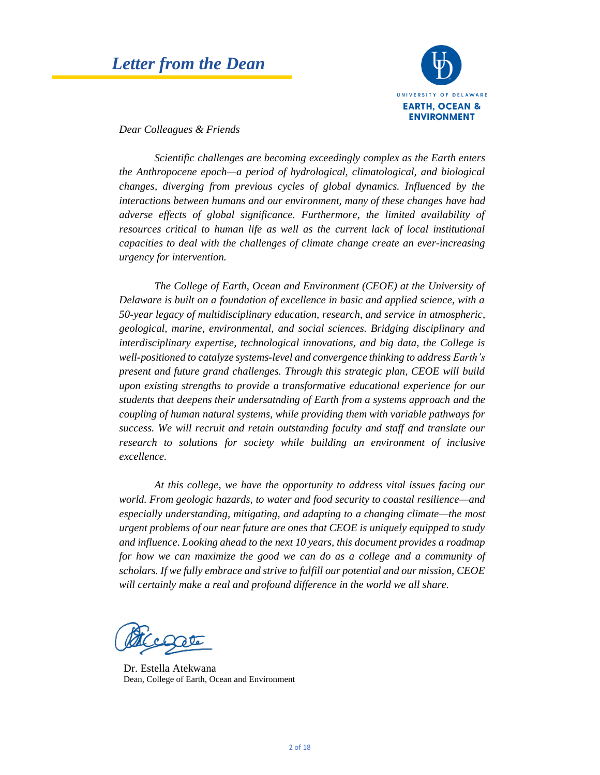## *Letter from the Dean*



*Dear Colleagues & Friends*

*Scientific challenges are becoming exceedingly complex as the Earth enters the Anthropocene epoch—a period of hydrological, climatological, and biological changes, diverging from previous cycles of global dynamics. Influenced by the interactions between humans and our environment, many of these changes have had adverse effects of global significance. Furthermore, the limited availability of resources critical to human life as well as the current lack of local institutional capacities to deal with the challenges of climate change create an ever-increasing urgency for intervention.*

*The College of Earth, Ocean and Environment (CEOE) at the University of Delaware is built on a foundation of excellence in basic and applied science, with a 50-year legacy of multidisciplinary education, research, and service in atmospheric, geological, marine, environmental, and social sciences. Bridging disciplinary and interdisciplinary expertise, technological innovations, and big data, the College is well-positioned to catalyze systems-level and convergence thinking to address Earth's present and future grand challenges. Through this strategic plan, CEOE will build upon existing strengths to provide a transformative educational experience for our students that deepens their undersatnding of Earth from a systems approach and the coupling of human natural systems, while providing them with variable pathways for success. We will recruit and retain outstanding faculty and staff and translate our research to solutions for society while building an environment of inclusive excellence.* 

*At this college, we have the opportunity to address vital issues facing our world. From geologic hazards, to water and food security to coastal resilience—and especially understanding, mitigating, and adapting to a changing climate—the most urgent problems of our near future are ones that CEOE is uniquely equipped to study and influence. Looking ahead to the next 10 years, this document provides a roadmap for how we can maximize the good we can do as a college and a community of scholars. If we fully embrace and strive to fulfill our potential and our mission, CEOE will certainly make a real and profound difference in the world we all share.*

Dr. Estella Atekwana Dean, College of Earth, Ocean and Environment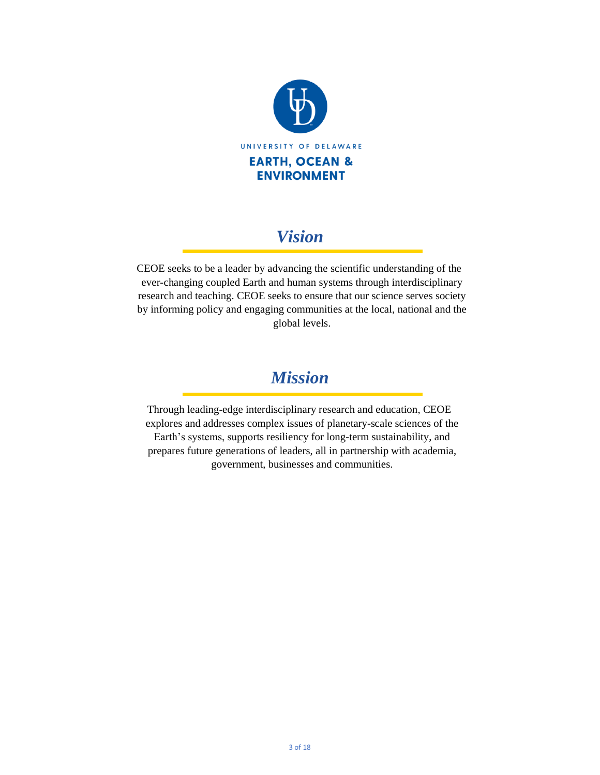

## *Vision*

 CEOE seeks to be a leader by advancing the scientific understanding of the ever-changing coupled Earth and human systems through interdisciplinary research and teaching. CEOE seeks to ensure that our science serves society by informing policy and engaging communities at the local, national and the global levels.

## *Mission*

 Through leading-edge interdisciplinary research and education, CEOE explores and addresses complex issues of planetary-scale sciences of the Earth's systems, supports resiliency for long-term sustainability, and prepares future generations of leaders, all in partnership with academia, government, businesses and communities.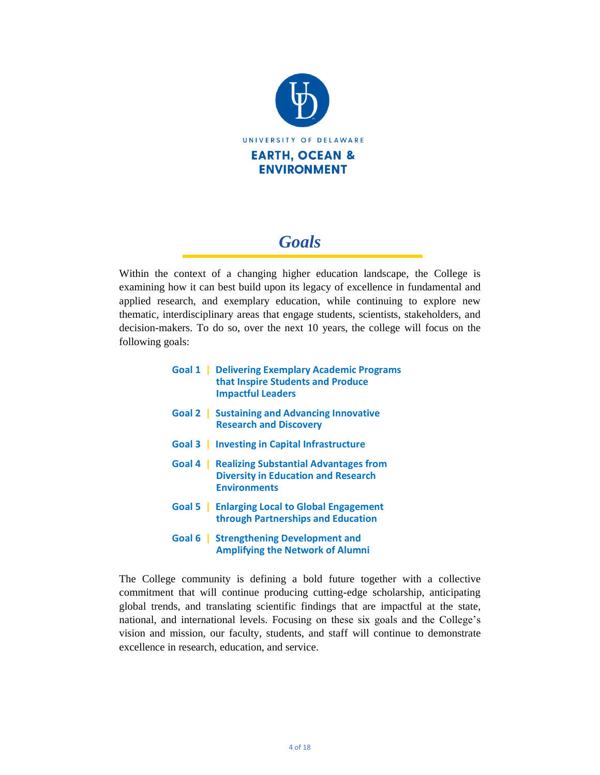

# *Goals*

Within the context of a changing higher education landscape, the College is examining how it can best build upon its legacy of excellence in fundamental and applied research, and exemplary education, while continuing to explore new thematic, interdisciplinary areas that engage students, scientists, stakeholders, and decision-makers. To do so, over the next 10 years, the college will focus on the following goals:

| <b>Goal 1</b> Delivering Exemplary Academic Programs<br>that Inspire Students and Produce<br><b>Impactful Leaders</b> |
|-----------------------------------------------------------------------------------------------------------------------|
| Goal 2   Sustaining and Advancing Innovative                                                                          |

- **Goal 2 | Sustaining and Advancing Innovative Research and Discovery**
- **Goal 3 | Investing in Capital Infrastructure**
- **Goal 4 | Realizing Substantial Advantages from Diversity in Education and Research Environments**
- **Goal 5 | Enlarging Local to Global Engagement through Partnerships and Education**
- **Goal 6 | Strengthening Development and Amplifying the Network of Alumni**

The College community is defining a bold future together with a collective commitment that will continue producing cutting-edge scholarship, anticipating global trends, and translating scientific findings that are impactful at the state, national, and international levels. Focusing on these six goals and the College's vision and mission, our faculty, students, and staff will continue to demonstrate excellence in research, education, and service.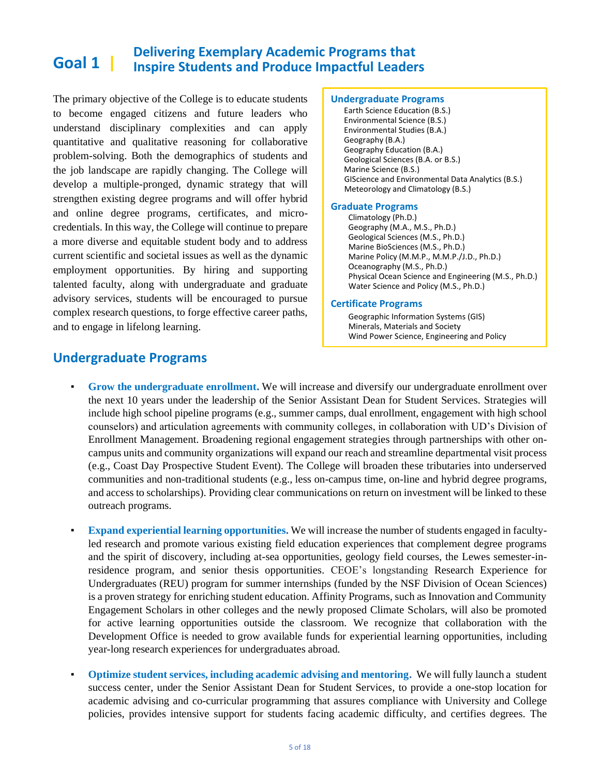#### **Goal 1 | Delivering Exemplary Academic Programs that Inspire Students and Produce Impactful Leaders**

The primary objective of the College is to educate students to become engaged citizens and future leaders who understand disciplinary complexities and can apply quantitative and qualitative reasoning for collaborative problem-solving. Both the demographics of students and the job landscape are rapidly changing. The College will develop a multiple-pronged, dynamic strategy that will strengthen existing degree programs and will offer hybrid and online degree programs, certificates, and microcredentials. In this way, the College will continue to prepare a more diverse and equitable student body and to address current scientific and societal issues as well as the dynamic employment opportunities. By hiring and supporting talented faculty, along with undergraduate and graduate advisory services, students will be encouraged to pursue complex research questions, to forge effective career paths, and to engage in lifelong learning.

#### **Undergraduate Programs**

Earth Science Education (B.S.) Environmental Science (B.S.) Environmental Studies (B.A.) Geography (B.A.) Geography Education (B.A.) Geological Sciences (B.A. or B.S.) Marine Science (B.S.) GIScience and Environmental Data Analytics (B.S.) Meteorology and Climatology (B.S.)

#### **Graduate Programs**

Climatology (Ph.D.) Geography (M.A., M.S., Ph.D.) Geological Sciences (M.S., Ph.D.) Marine BioSciences (M.S., Ph.D.) Marine Policy (M.M.P., M.M.P./J.D., Ph.D.) Oceanography (M.S., Ph.D.) Physical Ocean Science and Engineering (M.S., Ph.D.) Water Science and Policy (M.S., Ph.D.)

#### **Certificate Programs**

Geographic Information Systems (GIS) Minerals, Materials and Society Wind Power Science, Engineering and Policy

### **Undergraduate Programs**

- **Grow the undergraduate enrollment.** We will increase and diversify our undergraduate enrollment over the next 10 years under the leadership of the Senior Assistant Dean for Student Services. Strategies will include high school pipeline programs (e.g., summer camps, dual enrollment, engagement with high school counselors) and articulation agreements with community colleges, in collaboration with UD's Division of Enrollment Management. Broadening regional engagement strategies through partnerships with other oncampus units and community organizations will expand our reach and streamline departmental visit process (e.g., Coast Day Prospective Student Event). The College will broaden these tributaries into underserved communities and non-traditional students (e.g., less on-campus time, on-line and hybrid degree programs, and access to scholarships). Providing clear communications on return on investment will be linked to these outreach programs.
- **Expand experiential learning opportunities.** We will increase the number of students engaged in facultyled research and promote various existing field education experiences that complement degree programs and the spirit of discovery, including at-sea opportunities, geology field courses, the Lewes semester-inresidence program, and senior thesis opportunities. CEOE's longstanding Research Experience for Undergraduates (REU) program for summer internships (funded by the NSF Division of Ocean Sciences) is a proven strategy for enriching student education. Affinity Programs, such as Innovation and Community Engagement Scholars in other colleges and the newly proposed Climate Scholars, will also be promoted for active learning opportunities outside the classroom. We recognize that collaboration with the Development Office is needed to grow available funds for experiential learning opportunities, including year-long research experiences for undergraduates abroad.
- **Optimize student services, including academic advising and mentoring.** We will fully launch a student success center, under the Senior Assistant Dean for Student Services, to provide a one-stop location for academic advising and co-curricular programming that assures compliance with University and College policies, provides intensive support for students facing academic difficulty, and certifies degrees. The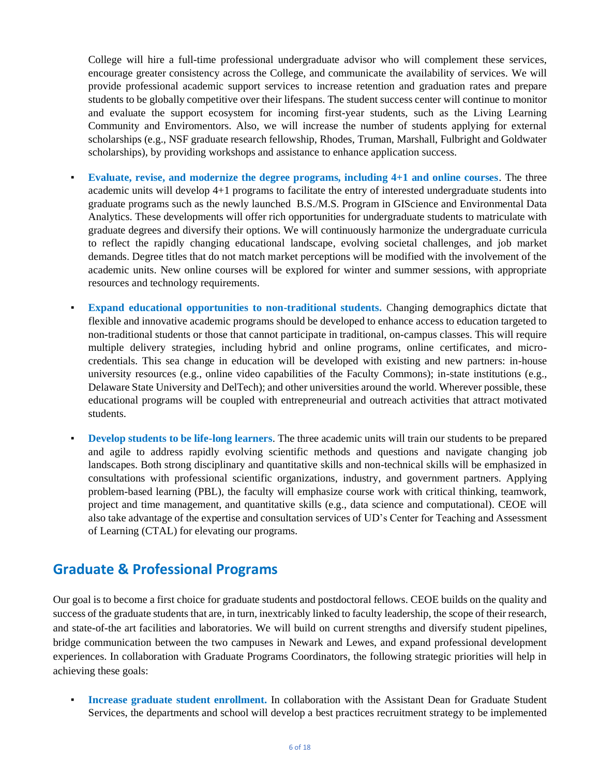College will hire a full-time professional undergraduate advisor who will complement these services, encourage greater consistency across the College, and communicate the availability of services. We will provide professional academic support services to increase retention and graduation rates and prepare students to be globally competitive over their lifespans. The student success center will continue to monitor and evaluate the support ecosystem for incoming first-year students, such as the Living Learning Community and Enviromentors. Also, we will increase the number of students applying for external scholarships (e.g., NSF graduate research fellowship, Rhodes, Truman, Marshall, Fulbright and Goldwater scholarships), by providing workshops and assistance to enhance application success.

- Evaluate, revise, and modernize the degree programs, including  $4+1$  and online courses. The three academic units will develop 4+1 programs to facilitate the entry of interested undergraduate students into graduate programs such as the newly launched B.S./M.S. Program in GIScience and Environmental Data Analytics. These developments will offer rich opportunities for undergraduate students to matriculate with graduate degrees and diversify their options. We will continuously harmonize the undergraduate curricula to reflect the rapidly changing educational landscape, evolving societal challenges, and job market demands. Degree titles that do not match market perceptions will be modified with the involvement of the academic units. New online courses will be explored for winter and summer sessions, with appropriate resources and technology requirements.
- **Expand educational opportunities to non-traditional students.** Changing demographics dictate that flexible and innovative academic programs should be developed to enhance access to education targeted to non-traditional students or those that cannot participate in traditional, on-campus classes. This will require multiple delivery strategies, including hybrid and online programs, online certificates, and microcredentials. This sea change in education will be developed with existing and new partners: in-house university resources (e.g., online video capabilities of the Faculty Commons); in-state institutions (e.g., Delaware State University and DelTech); and other universities around the world. Wherever possible, these educational programs will be coupled with entrepreneurial and outreach activities that attract motivated students.
- **Develop students to be life-long learners.** The three academic units will train our students to be prepared and agile to address rapidly evolving scientific methods and questions and navigate changing job landscapes. Both strong disciplinary and quantitative skills and non-technical skills will be emphasized in consultations with professional scientific organizations, industry, and government partners. Applying problem-based learning (PBL), the faculty will emphasize course work with critical thinking, teamwork, project and time management, and quantitative skills (e.g., data science and computational). CEOE will also take advantage of the expertise and consultation services of UD's Center for Teaching and Assessment of Learning (CTAL) for elevating our programs.

### **Graduate & Professional Programs**

Our goal is to become a first choice for graduate students and postdoctoral fellows. CEOE builds on the quality and success of the graduate students that are, in turn, inextricably linked to faculty leadership, the scope of their research, and state-of-the art facilities and laboratories. We will build on current strengths and diversify student pipelines, bridge communication between the two campuses in Newark and Lewes, and expand professional development experiences. In collaboration with Graduate Programs Coordinators, the following strategic priorities will help in achieving these goals:

**Increase graduate student enrollment.** In collaboration with the Assistant Dean for Graduate Student Services, the departments and school will develop a best practices recruitment strategy to be implemented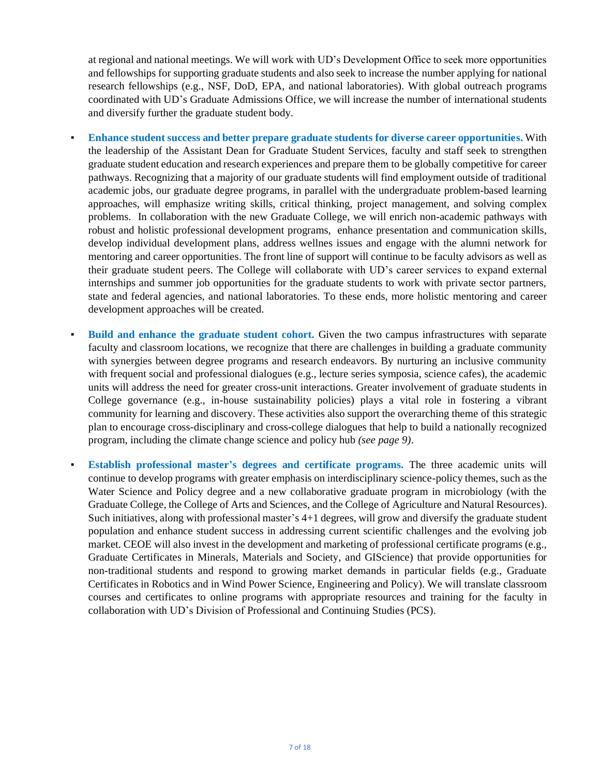at regional and national meetings. We will work with UD's Development Office to seek more opportunities and fellowships for supporting graduate students and also seek to increase the number applying for national research fellowships (e.g., NSF, DoD, EPA, and national laboratories). With global outreach programs coordinated with UD's Graduate Admissions Office, we will increase the number of international students and diversify further the graduate student body.

- **Enhance student success and better prepare graduate students for diverse career opportunities. With** the leadership of the Assistant Dean for Graduate Student Services, faculty and staff seek to strengthen graduate student education and research experiences and prepare them to be globally competitive for career pathways. Recognizing that a majority of our graduate students will find employment outside of traditional academic jobs, our graduate degree programs, in parallel with the undergraduate problem-based learning approaches, will emphasize writing skills, critical thinking, project management, and solving complex problems. In collaboration with the new Graduate College, we will enrich non-academic pathways with robust and holistic professional development programs, enhance presentation and communication skills, develop individual development plans, address wellnes issues and engage with the alumni network for mentoring and career opportunities. The front line of support will continue to be faculty advisors as well as their graduate student peers. The College will collaborate with UD's career services to expand external internships and summer job opportunities for the graduate students to work with private sector partners, state and federal agencies, and national laboratories. To these ends, more holistic mentoring and career development approaches will be created.
- **Build and enhance the graduate student cohort.** Given the two campus infrastructures with separate faculty and classroom locations, we recognize that there are challenges in building a graduate community with synergies between degree programs and research endeavors. By nurturing an inclusive community with frequent social and professional dialogues (e.g., lecture series symposia, science cafes), the academic units will address the need for greater cross-unit interactions. Greater involvement of graduate students in College governance (e.g., in-house sustainability policies) plays a vital role in fostering a vibrant community for learning and discovery. These activities also support the overarching theme of this strategic plan to encourage cross-disciplinary and cross-college dialogues that help to build a nationally recognized program, including the climate change science and policy hub *(see page 9)*.
- **Establish professional master's degrees and certificate programs.** The three academic units will continue to develop programs with greater emphasis on interdisciplinary science-policy themes, such as the Water Science and Policy degree and a new collaborative graduate program in microbiology (with the Graduate College, the College of Arts and Sciences, and the College of Agriculture and Natural Resources). Such initiatives, along with professional master's 4+1 degrees, will grow and diversify the graduate student population and enhance student success in addressing current scientific challenges and the evolving job market. CEOE will also invest in the development and marketing of professional certificate programs (e.g., Graduate Certificates in Minerals, Materials and Society, and GIScience) that provide opportunities for non-traditional students and respond to growing market demands in particular fields (e.g., Graduate Certificates in Robotics and in Wind Power Science, Engineering and Policy). We will translate classroom courses and certificates to online programs with appropriate resources and training for the faculty in collaboration with UD's Division of Professional and Continuing Studies (PCS).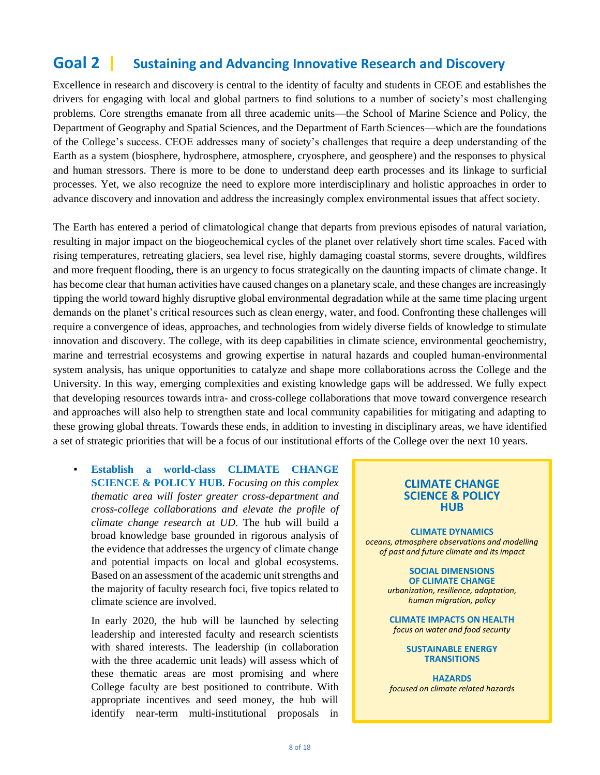#### **Goal 2 | Sustaining and Advancing Innovative Research and Discovery**

Excellence in research and discovery is central to the identity of faculty and students in CEOE and establishes the drivers for engaging with local and global partners to find solutions to a number of society's most challenging problems. Core strengths emanate from all three academic units—the School of Marine Science and Policy, the Department of Geography and Spatial Sciences, and the Department of Earth Sciences—which are the foundations of the College's success. CEOE addresses many of society's challenges that require a deep understanding of the Earth as a system (biosphere, hydrosphere, atmosphere, cryosphere, and geosphere) and the responses to physical and human stressors. There is more to be done to understand deep earth processes and its linkage to surficial processes. Yet, we also recognize the need to explore more interdisciplinary and holistic approaches in order to advance discovery and innovation and address the increasingly complex environmental issues that affect society.

The Earth has entered a period of climatological change that departs from previous episodes of natural variation, resulting in major impact on the biogeochemical cycles of the planet over relatively short time scales. Faced with rising temperatures, retreating glaciers, sea level rise, highly damaging coastal storms, severe droughts, wildfires and more frequent flooding, there is an urgency to focus strategically on the daunting impacts of climate change. It has become clear that human activities have caused changes on a planetary scale, and these changes are increasingly tipping the world toward highly disruptive global environmental degradation while at the same time placing urgent demands on the planet's critical resources such as clean energy, water, and food. Confronting these challenges will require a convergence of ideas, approaches, and technologies from widely diverse fields of knowledge to stimulate innovation and discovery. The college, with its deep capabilities in climate science, environmental geochemistry, marine and terrestrial ecosystems and growing expertise in natural hazards and coupled human-environmental system analysis, has unique opportunities to catalyze and shape more collaborations across the College and the University. In this way, emerging complexities and existing knowledge gaps will be addressed. We fully expect that developing resources towards intra- and cross-college collaborations that move toward convergence research and approaches will also help to strengthen state and local community capabilities for mitigating and adapting to these growing global threats. Towards these ends, in addition to investing in disciplinary areas, we have identified a set of strategic priorities that will be a focus of our institutional efforts of the College over the next 10 years.

▪ **Establish a world-class CLIMATE CHANGE SCIENCE & POLICY HUB**. *Focusing on this complex thematic area will foster greater cross-department and cross-college collaborations and elevate the profile of climate change research at UD.* The hub will build a broad knowledge base grounded in rigorous analysis of the evidence that addresses the urgency of climate change and potential impacts on local and global ecosystems. Based on an assessment of the academic unit strengths and the majority of faculty research foci, five topics related to climate science are involved.

In early 2020, the hub will be launched by selecting leadership and interested faculty and research scientists with shared interests. The leadership (in collaboration with the three academic unit leads) will assess which of these thematic areas are most promising and where College faculty are best positioned to contribute. With appropriate incentives and seed money, the hub will identify near-term multi-institutional proposals in

### **CLIMATE CHANGE SCIENCE & POLICY HUB**

**CLIMATE DYNAMICS** *oceans, atmosphere observations and modelling of past and future climate and its impact*

> **SOCIAL DIMENSIONS OF CLIMATE CHANGE**

*urbanization, resilience, adaptation, human migration, policy*

**CLIMATE IMPACTS ON HEALTH** *focus on water and food security*

#### **SUSTAINABLE ENERGY TRANSITIONS**

**HAZARDS** *focused on climate related hazards*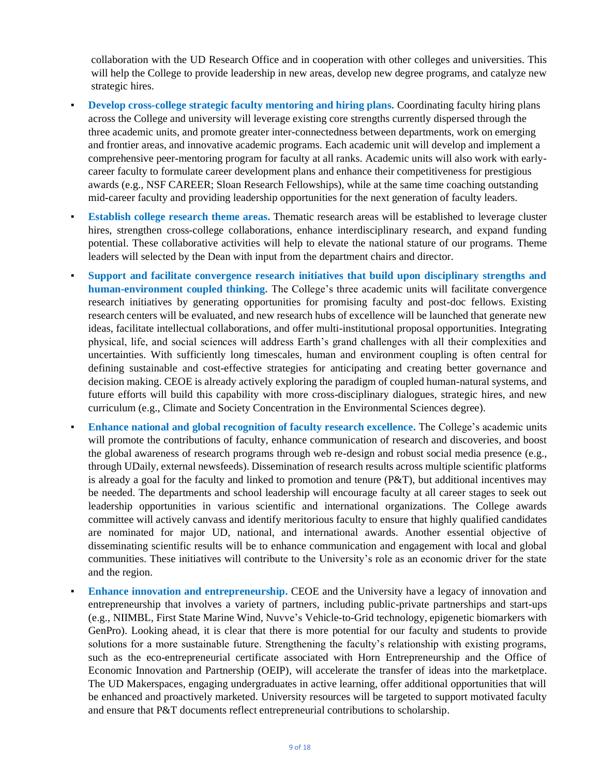collaboration with the UD Research Office and in cooperation with other colleges and universities. This will help the College to provide leadership in new areas, develop new degree programs, and catalyze new strategic hires.

- **Develop cross-college strategic faculty mentoring and hiring plans.** Coordinating faculty hiring plans across the College and university will leverage existing core strengths currently dispersed through the three academic units, and promote greater inter-connectedness between departments, work on emerging and frontier areas, and innovative academic programs. Each academic unit will develop and implement a comprehensive peer-mentoring program for faculty at all ranks. Academic units will also work with earlycareer faculty to formulate career development plans and enhance their competitiveness for prestigious awards (e.g., NSF CAREER; Sloan Research Fellowships), while at the same time coaching outstanding mid-career faculty and providing leadership opportunities for the next generation of faculty leaders.
- **Establish college research theme areas.** Thematic research areas will be established to leverage cluster hires, strengthen cross-college collaborations, enhance interdisciplinary research, and expand funding potential. These collaborative activities will help to elevate the national stature of our programs. Theme leaders will selected by the Dean with input from the department chairs and director.
- **Support and facilitate convergence research initiatives that build upon disciplinary strengths and human-environment coupled thinking.** The College's three academic units will facilitate convergence research initiatives by generating opportunities for promising faculty and post-doc fellows. Existing research centers will be evaluated, and new research hubs of excellence will be launched that generate new ideas, facilitate intellectual collaborations, and offer multi-institutional proposal opportunities. Integrating physical, life, and social sciences will address Earth's grand challenges with all their complexities and uncertainties. With sufficiently long timescales, human and environment coupling is often central for defining sustainable and cost-effective strategies for anticipating and creating better governance and decision making. CEOE is already actively exploring the paradigm of coupled human-natural systems, and future efforts will build this capability with more cross-disciplinary dialogues, strategic hires, and new curriculum (e.g., Climate and Society Concentration in the Environmental Sciences degree).
- **Enhance national and global recognition of faculty research excellence. The College's academic units** will promote the contributions of faculty, enhance communication of research and discoveries, and boost the global awareness of research programs through web re-design and robust social media presence (e.g., through UDaily, external newsfeeds). Dissemination of research results across multiple scientific platforms is already a goal for the faculty and linked to promotion and tenure (P&T), but additional incentives may be needed. The departments and school leadership will encourage faculty at all career stages to seek out leadership opportunities in various scientific and international organizations. The College awards committee will actively canvass and identify meritorious faculty to ensure that highly qualified candidates are nominated for major UD, national, and international awards. Another essential objective of disseminating scientific results will be to enhance communication and engagement with local and global communities. These initiatives will contribute to the University's role as an economic driver for the state and the region.
- **Enhance innovation and entrepreneurship.** CEOE and the University have a legacy of innovation and entrepreneurship that involves a variety of partners, including public-private partnerships and start-ups (e.g., NIIMBL, First State Marine Wind, Nuvve's Vehicle-to-Grid technology, epigenetic biomarkers with GenPro). Looking ahead, it is clear that there is more potential for our faculty and students to provide solutions for a more sustainable future. Strengthening the faculty's relationship with existing programs, such as the eco-entrepreneurial certificate associated with Horn Entrepreneurship and the Office of Economic Innovation and Partnership (OEIP), will accelerate the transfer of ideas into the marketplace. The UD Makerspaces, engaging undergraduates in active learning, offer additional opportunities that will be enhanced and proactively marketed. University resources will be targeted to support motivated faculty and ensure that P&T documents reflect entrepreneurial contributions to scholarship.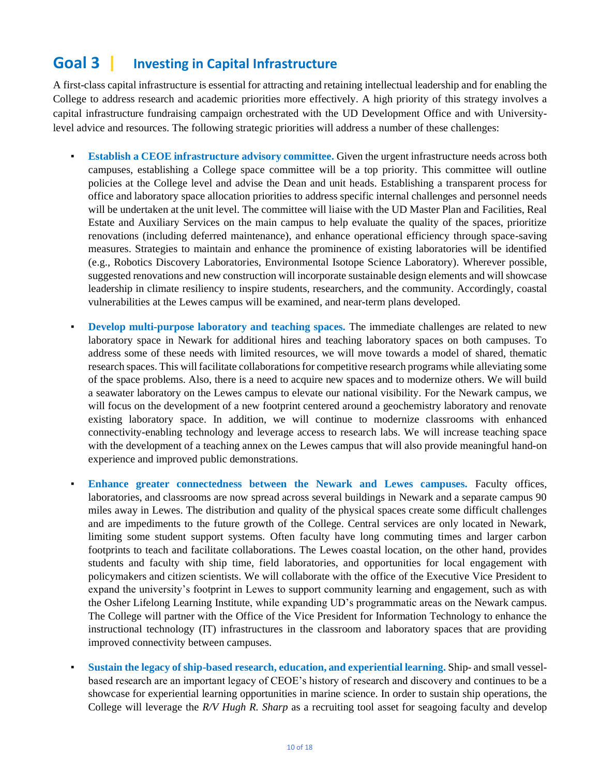#### **Goal 3 | Investing in Capital Infrastructure**

A first-class capital infrastructure is essential for attracting and retaining intellectual leadership and for enabling the College to address research and academic priorities more effectively. A high priority of this strategy involves a capital infrastructure fundraising campaign orchestrated with the UD Development Office and with Universitylevel advice and resources. The following strategic priorities will address a number of these challenges:

- **Establish a CEOE infrastructure advisory committee.** Given the urgent infrastructure needs across both campuses, establishing a College space committee will be a top priority. This committee will outline policies at the College level and advise the Dean and unit heads. Establishing a transparent process for office and laboratory space allocation priorities to address specific internal challenges and personnel needs will be undertaken at the unit level. The committee will liaise with the UD Master Plan and Facilities, Real Estate and Auxiliary Services on the main campus to help evaluate the quality of the spaces, prioritize renovations (including deferred maintenance), and enhance operational efficiency through space-saving measures. Strategies to maintain and enhance the prominence of existing laboratories will be identified (e.g., Robotics Discovery Laboratories, Environmental Isotope Science Laboratory). Wherever possible, suggested renovations and new construction will incorporate sustainable design elements and will showcase leadership in climate resiliency to inspire students, researchers, and the community. Accordingly, coastal vulnerabilities at the Lewes campus will be examined, and near-term plans developed.
- **Develop multi-purpose laboratory and teaching spaces.** The immediate challenges are related to new laboratory space in Newark for additional hires and teaching laboratory spaces on both campuses. To address some of these needs with limited resources, we will move towards a model of shared, thematic research spaces. This will facilitate collaborations for competitive research programs while alleviating some of the space problems. Also, there is a need to acquire new spaces and to modernize others. We will build a seawater laboratory on the Lewes campus to elevate our national visibility. For the Newark campus, we will focus on the development of a new footprint centered around a geochemistry laboratory and renovate existing laboratory space. In addition, we will continue to modernize classrooms with enhanced connectivity-enabling technology and leverage access to research labs. We will increase teaching space with the development of a teaching annex on the Lewes campus that will also provide meaningful hand-on experience and improved public demonstrations.
- **Enhance greater connectedness between the Newark and Lewes campuses.** Faculty offices, laboratories, and classrooms are now spread across several buildings in Newark and a separate campus 90 miles away in Lewes. The distribution and quality of the physical spaces create some difficult challenges and are impediments to the future growth of the College. Central services are only located in Newark, limiting some student support systems. Often faculty have long commuting times and larger carbon footprints to teach and facilitate collaborations. The Lewes coastal location, on the other hand, provides students and faculty with ship time, field laboratories, and opportunities for local engagement with policymakers and citizen scientists. We will collaborate with the office of the Executive Vice President to expand the university's footprint in Lewes to support community learning and engagement, such as with the Osher Lifelong Learning Institute, while expanding UD's programmatic areas on the Newark campus. The College will partner with the Office of the Vice President for Information Technology to enhance the instructional technology (IT) infrastructures in the classroom and laboratory spaces that are providing improved connectivity between campuses.
- **Sustain the legacy of ship-based research, education, and experiential learning.** Ship- and small vesselbased research are an important legacy of CEOE's history of research and discovery and continues to be a showcase for experiential learning opportunities in marine science. In order to sustain ship operations, the College will leverage the *R/V Hugh R. Sharp* as a recruiting tool asset for seagoing faculty and develop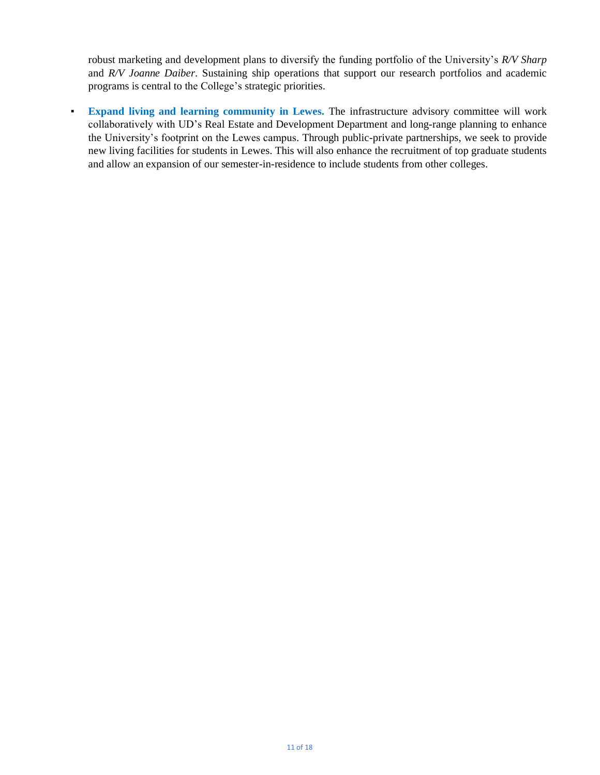robust marketing and development plans to diversify the funding portfolio of the University's *R/V Sharp* and *R/V Joanne Daiber*. Sustaining ship operations that support our research portfolios and academic programs is central to the College's strategic priorities.

▪ **Expand living and learning community in Lewes.** The infrastructure advisory committee will work collaboratively with UD's Real Estate and Development Department and long-range planning to enhance the University's footprint on the Lewes campus. Through public-private partnerships, we seek to provide new living facilities for students in Lewes. This will also enhance the recruitment of top graduate students and allow an expansion of our semester-in-residence to include students from other colleges.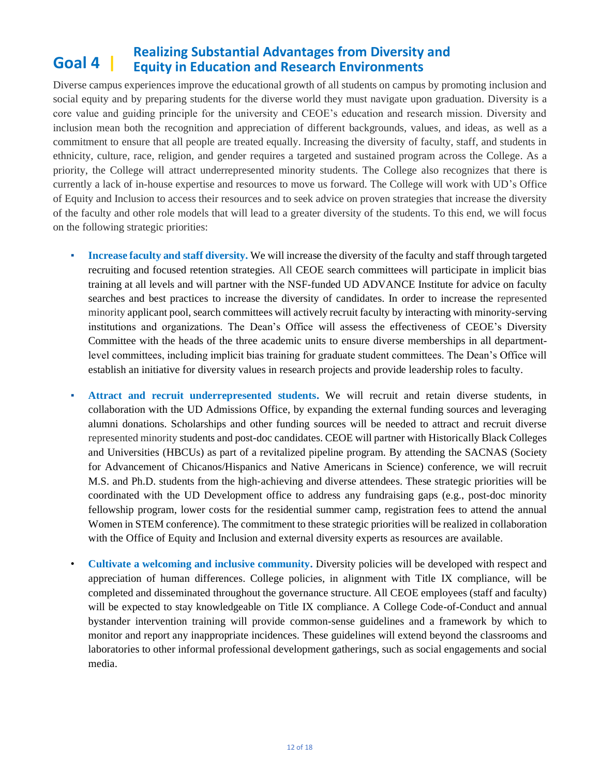#### **Goal 4 | Realizing Substantial Advantages from Diversity and Equity in Education and Research Environments**

Diverse campus experiences improve the educational growth of all students on campus by promoting inclusion and social equity and by preparing students for the diverse world they must navigate upon graduation. Diversity is a core value and guiding principle for the university and CEOE's education and research mission. Diversity and inclusion mean both the recognition and appreciation of different backgrounds, values, and ideas, as well as a commitment to ensure that all people are treated equally. Increasing the diversity of faculty, staff, and students in ethnicity, culture, race, religion, and gender requires a targeted and sustained program across the College. As a priority, the College will attract underrepresented minority students. The College also recognizes that there is currently a lack of in-house expertise and resources to move us forward. The College will work with UD's Office of Equity and Inclusion to access their resources and to seek advice on proven strategies that increase the diversity of the faculty and other role models that will lead to a greater diversity of the students. To this end, we will focus on the following strategic priorities:

- **Increase faculty and staff diversity.** We will increase the diversity of the faculty and staff through targeted recruiting and focused retention strategies. All CEOE search committees will participate in implicit bias training at all levels and will partner with the NSF-funded UD ADVANCE Institute for advice on faculty searches and best practices to increase the diversity of candidates. In order to increase the represented minority applicant pool, search committees will actively recruit faculty by interacting with minority-serving institutions and organizations. The Dean's Office will assess the effectiveness of CEOE's Diversity Committee with the heads of the three academic units to ensure diverse memberships in all departmentlevel committees, including implicit bias training for graduate student committees. The Dean's Office will establish an initiative for diversity values in research projects and provide leadership roles to faculty.
- Attract and recruit underrepresented students. We will recruit and retain diverse students, in collaboration with the UD Admissions Office, by expanding the external funding sources and leveraging alumni donations. Scholarships and other funding sources will be needed to attract and recruit diverse represented minority students and post-doc candidates. CEOE will partner with Historically Black Colleges and Universities (HBCUs) as part of a revitalized pipeline program. By attending the SACNAS (Society for Advancement of Chicanos/Hispanics and Native Americans in Science) conference, we will recruit M.S. and Ph.D. students from the high‐achieving and diverse attendees. These strategic priorities will be coordinated with the UD Development office to address any fundraising gaps (e.g., post-doc minority fellowship program, lower costs for the residential summer camp, registration fees to attend the annual Women in STEM conference). The commitment to these strategic priorities will be realized in collaboration with the Office of Equity and Inclusion and external diversity experts as resources are available.
- **Cultivate a welcoming and inclusive community.** Diversity policies will be developed with respect and appreciation of human differences. College policies, in alignment with Title IX compliance, will be completed and disseminated throughout the governance structure. All CEOE employees (staff and faculty) will be expected to stay knowledgeable on Title IX compliance. A College Code-of-Conduct and annual bystander intervention training will provide common-sense guidelines and a framework by which to monitor and report any inappropriate incidences. These guidelines will extend beyond the classrooms and laboratories to other informal professional development gatherings, such as social engagements and social media.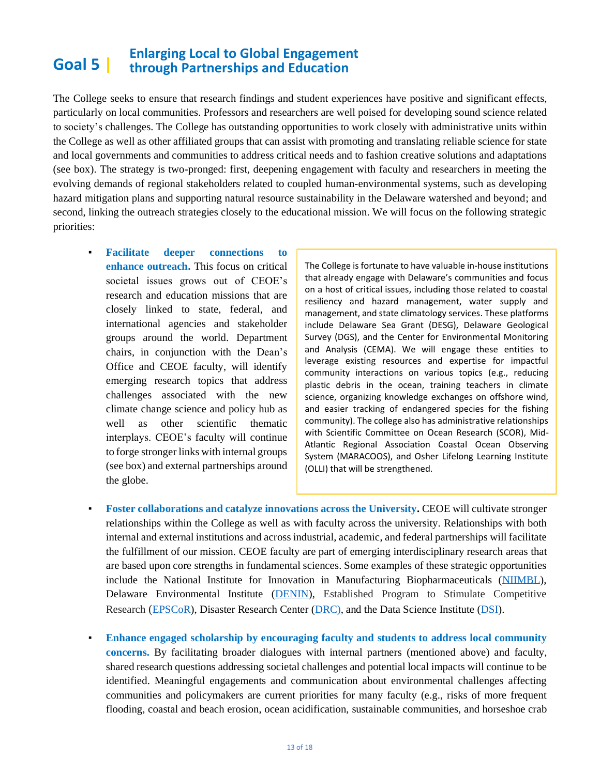#### **Goal 5 | Enlarging Local to Global Engagement through Partnerships and Education**

The College seeks to ensure that research findings and student experiences have positive and significant effects, particularly on local communities. Professors and researchers are well poised for developing sound science related to society's challenges. The College has outstanding opportunities to work closely with administrative units within the College as well as other affiliated groups that can assist with promoting and translating reliable science for state and local governments and communities to address critical needs and to fashion creative solutions and adaptations (see box). The strategy is two-pronged: first, deepening engagement with faculty and researchers in meeting the evolving demands of regional stakeholders related to coupled human-environmental systems, such as developing hazard mitigation plans and supporting natural resource sustainability in the Delaware watershed and beyond; and second, linking the outreach strategies closely to the educational mission. We will focus on the following strategic priorities:

▪ **Facilitate deeper connections to enhance outreach.** This focus on critical societal issues grows out of CEOE's research and education missions that are closely linked to state, federal, and international agencies and stakeholder groups around the world. Department chairs, in conjunction with the Dean's Office and CEOE faculty, will identify emerging research topics that address challenges associated with the new climate change science and policy hub as well as other scientific thematic interplays. CEOE's faculty will continue to forge stronger links with internal groups (see box) and external partnerships around the globe.

The College is fortunate to have valuable in-house institutions that already engage with Delaware's communities and focus on a host of critical issues, including those related to coastal resiliency and hazard management, water supply and management, and state climatology services. These platforms include Delaware Sea Grant (DESG), Delaware Geological Survey (DGS), and the Center for Environmental Monitoring and Analysis (CEMA). We will engage these entities to leverage existing resources and expertise for impactful community interactions on various topics (e.g., reducing plastic debris in the ocean, training teachers in climate science, organizing knowledge exchanges on offshore wind, and easier tracking of endangered species for the fishing community). The college also has administrative relationships with Scientific Committee on Ocean Research (SCOR), Mid-Atlantic Regional Association Coastal Ocean Observing System (MARACOOS), and Osher Lifelong Learning Institute (OLLI) that will be strengthened.

- **Foster collaborations and catalyze innovations across the University.** CEOE will cultivate stronger relationships within the College as well as with faculty across the university. Relationships with both internal and external institutions and across industrial, academic, and federal partnerships will facilitate the fulfillment of our mission. CEOE faculty are part of emerging interdisciplinary research areas that are based upon core strengths in fundamental sciences. Some examples of these strategic opportunities include the National Institute for Innovation in Manufacturing Biopharmaceuticals [\(NIIMBL\)](https://sites.udel.edu/cbst/), Delaware Environmental Institute [\(DENIN\)](http://www.denin.udel.edu/), Established Program to Stimulate Competitive Research ([EPSCoR\)](https://projectwicced.org/), Disaster Research Center [\(DRC\),](https://www.drc.udel.edu/) and the Data Science Institute [\(DSI\)](https://dsi.udel.edu/).
- **Enhance engaged scholarship by encouraging faculty and students to address local community concerns.** By facilitating broader dialogues with internal partners (mentioned above) and faculty, shared research questions addressing societal challenges and potential local impacts will continue to be identified. Meaningful engagements and communication about environmental challenges affecting communities and policymakers are current priorities for many faculty (e.g., risks of more frequent flooding, coastal and beach erosion, ocean acidification, sustainable communities, and horseshoe crab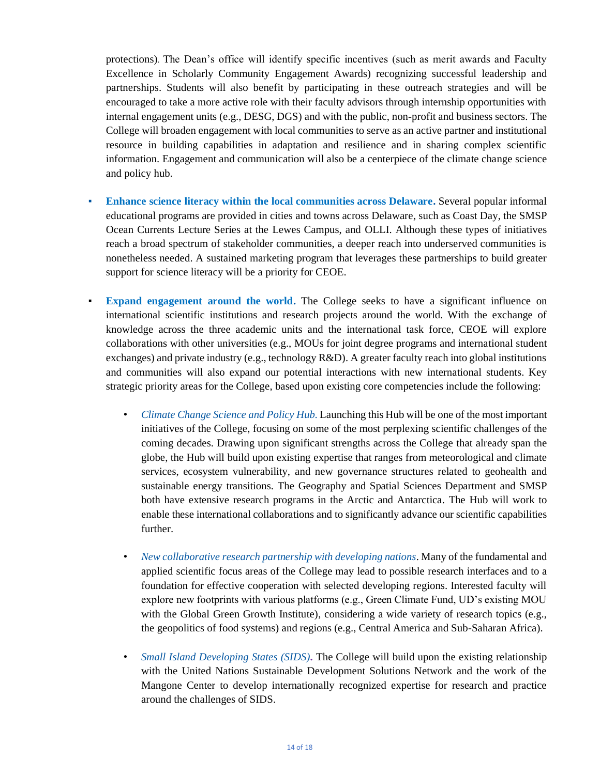protections). The Dean's office will identify specific incentives (such as merit awards and Faculty Excellence in Scholarly Community Engagement Awards) recognizing successful leadership and partnerships. Students will also benefit by participating in these outreach strategies and will be encouraged to take a more active role with their faculty advisors through internship opportunities with internal engagement units (e.g., DESG, DGS) and with the public, non-profit and business sectors. The College will broaden engagement with local communities to serve as an active partner and institutional resource in building capabilities in adaptation and resilience and in sharing complex scientific information. Engagement and communication will also be a centerpiece of the climate change science and policy hub.

- **Enhance science literacy within the local communities across Delaware.** Several popular informal educational programs are provided in cities and towns across Delaware, such as Coast Day, the SMSP Ocean Currents Lecture Series at the Lewes Campus, and OLLI. Although these types of initiatives reach a broad spectrum of stakeholder communities, a deeper reach into underserved communities is nonetheless needed. A sustained marketing program that leverages these partnerships to build greater support for science literacy will be a priority for CEOE.
- **Expand engagement around the world.** The College seeks to have a significant influence on international scientific institutions and research projects around the world. With the exchange of knowledge across the three academic units and the international task force, CEOE will explore collaborations with other universities (e.g., MOUs for joint degree programs and international student exchanges) and private industry (e.g., technology R&D). A greater faculty reach into global institutions and communities will also expand our potential interactions with new international students. Key strategic priority areas for the College, based upon existing core competencies include the following:
	- *Climate Change Science and Policy Hub.* Launching this Hub will be one of the most important initiatives of the College, focusing on some of the most perplexing scientific challenges of the coming decades. Drawing upon significant strengths across the College that already span the globe, the Hub will build upon existing expertise that ranges from meteorological and climate services, ecosystem vulnerability, and new governance structures related to geohealth and sustainable energy transitions. The Geography and Spatial Sciences Department and SMSP both have extensive research programs in the Arctic and Antarctica. The Hub will work to enable these international collaborations and to significantly advance our scientific capabilities further.
	- *New collaborative research partnership with developing nations*. Many of the fundamental and applied scientific focus areas of the College may lead to possible research interfaces and to a foundation for effective cooperation with selected developing regions. Interested faculty will explore new footprints with various platforms (e.g., Green Climate Fund, UD's existing MOU with the Global Green Growth Institute), considering a wide variety of research topics (e.g., the geopolitics of food systems) and regions (e.g., Central America and Sub-Saharan Africa).
	- *Small Island Developing States (SIDS)***.** The College will build upon the existing relationship with the United Nations Sustainable Development Solutions Network and the work of the Mangone Center to develop internationally recognized expertise for research and practice around the challenges of SIDS.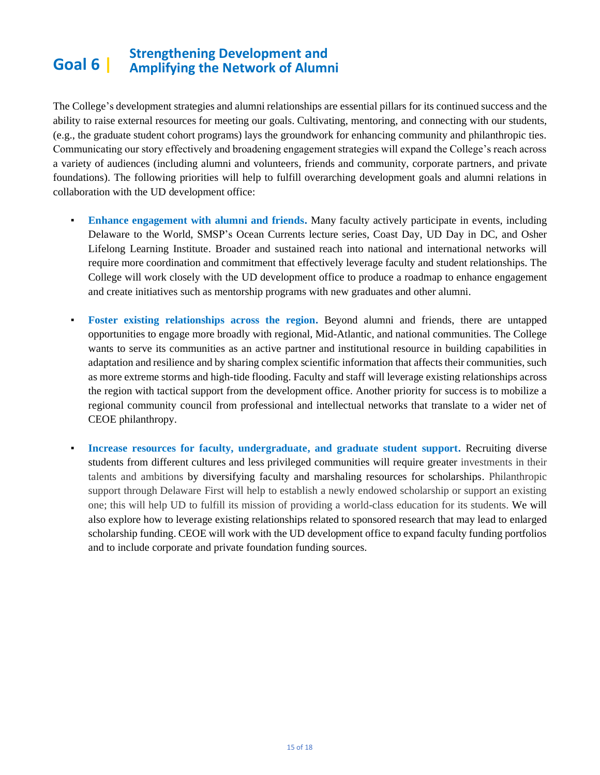#### **Goal 6 | Strengthening Development and Amplifying the Network of Alumni**

The College's development strategies and alumni relationships are essential pillars for its continued success and the ability to raise external resources for meeting our goals. Cultivating, mentoring, and connecting with our students, (e.g., the graduate student cohort programs) lays the groundwork for enhancing community and philanthropic ties. Communicating our story effectively and broadening engagement strategies will expand the College's reach across a variety of audiences (including alumni and volunteers, friends and community, corporate partners, and private foundations). The following priorities will help to fulfill overarching development goals and alumni relations in collaboration with the UD development office:

- **Enhance engagement with alumni and friends.** Many faculty actively participate in events, including Delaware to the World, SMSP's Ocean Currents lecture series, Coast Day, UD Day in DC, and Osher Lifelong Learning Institute. Broader and sustained reach into national and international networks will require more coordination and commitment that effectively leverage faculty and student relationships. The College will work closely with the UD development office to produce a roadmap to enhance engagement and create initiatives such as mentorship programs with new graduates and other alumni.
- **Foster existing relationships across the region.** Beyond alumni and friends, there are untapped opportunities to engage more broadly with regional, Mid-Atlantic, and national communities. The College wants to serve its communities as an active partner and institutional resource in building capabilities in adaptation and resilience and by sharing complex scientific information that affects their communities, such as more extreme storms and high-tide flooding. Faculty and staff will leverage existing relationships across the region with tactical support from the development office. Another priority for success is to mobilize a regional community council from professional and intellectual networks that translate to a wider net of CEOE philanthropy.
- **Increase resources for faculty, undergraduate, and graduate student support.** Recruiting diverse students from different cultures and less privileged communities will require greater investments in their talents and ambitions by diversifying faculty and marshaling resources for scholarships. Philanthropic support through Delaware First will help to establish a newly endowed scholarship or support an existing one; this will help UD to fulfill its mission of providing a world-class education for its students. We will also explore how to leverage existing relationships related to sponsored research that may lead to enlarged scholarship funding. CEOE will work with the UD development office to expand faculty funding portfolios and to include corporate and private foundation funding sources.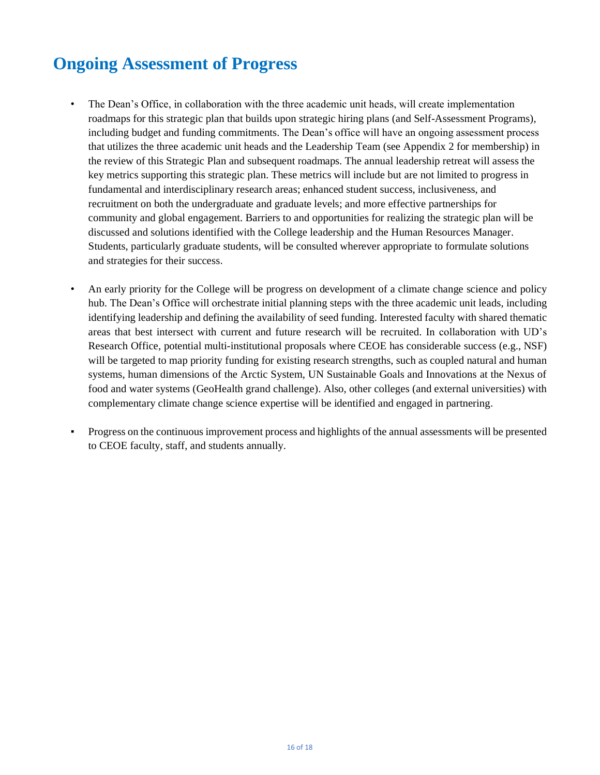# **Ongoing Assessment of Progress**

- The Dean's Office, in collaboration with the three academic unit heads, will create implementation roadmaps for this strategic plan that builds upon strategic hiring plans (and Self-Assessment Programs), including budget and funding commitments. The Dean's office will have an ongoing assessment process that utilizes the three academic unit heads and the Leadership Team (see Appendix 2 for membership) in the review of this Strategic Plan and subsequent roadmaps. The annual leadership retreat will assess the key metrics supporting this strategic plan. These metrics will include but are not limited to progress in fundamental and interdisciplinary research areas; enhanced student success, inclusiveness, and recruitment on both the undergraduate and graduate levels; and more effective partnerships for community and global engagement. Barriers to and opportunities for realizing the strategic plan will be discussed and solutions identified with the College leadership and the Human Resources Manager. Students, particularly graduate students, will be consulted wherever appropriate to formulate solutions and strategies for their success.
- An early priority for the College will be progress on development of a climate change science and policy hub. The Dean's Office will orchestrate initial planning steps with the three academic unit leads, including identifying leadership and defining the availability of seed funding. Interested faculty with shared thematic areas that best intersect with current and future research will be recruited. In collaboration with UD's Research Office, potential multi-institutional proposals where CEOE has considerable success (e.g., NSF) will be targeted to map priority funding for existing research strengths, such as coupled natural and human systems, human dimensions of the Arctic System, UN Sustainable Goals and Innovations at the Nexus of food and water systems (GeoHealth grand challenge). Also, other colleges (and external universities) with complementary climate change science expertise will be identified and engaged in partnering.
- Progress on the continuous improvement process and highlights of the annual assessments will be presented to CEOE faculty, staff, and students annually.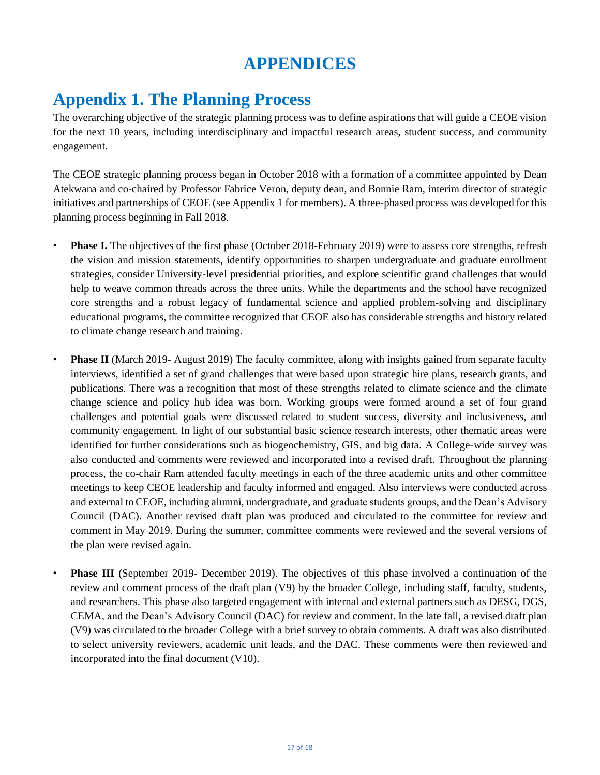## **APPENDICES**

## **Appendix 1. The Planning Process**

The overarching objective of the strategic planning process was to define aspirations that will guide a CEOE vision for the next 10 years, including interdisciplinary and impactful research areas, student success, and community engagement.

The CEOE strategic planning process began in October 2018 with a formation of a committee appointed by Dean Atekwana and co-chaired by Professor Fabrice Veron, deputy dean, and Bonnie Ram, interim director of strategic initiatives and partnerships of CEOE (see Appendix 1 for members). A three-phased process was developed for this planning process beginning in Fall 2018.

- **Phase I.** The objectives of the first phase (October 2018-February 2019) were to assess core strengths, refresh the vision and mission statements, identify opportunities to sharpen undergraduate and graduate enrollment strategies, consider University-level presidential priorities, and explore scientific grand challenges that would help to weave common threads across the three units. While the departments and the school have recognized core strengths and a robust legacy of fundamental science and applied problem-solving and disciplinary educational programs, the committee recognized that CEOE also has considerable strengths and history related to climate change research and training.
- **Phase II** (March 2019- August 2019) The faculty committee, along with insights gained from separate faculty interviews, identified a set of grand challenges that were based upon strategic hire plans, research grants, and publications. There was a recognition that most of these strengths related to climate science and the climate change science and policy hub idea was born. Working groups were formed around a set of four grand challenges and potential goals were discussed related to student success, diversity and inclusiveness, and community engagement. In light of our substantial basic science research interests, other thematic areas were identified for further considerations such as biogeochemistry, GIS, and big data. A College-wide survey was also conducted and comments were reviewed and incorporated into a revised draft. Throughout the planning process, the co-chair Ram attended faculty meetings in each of the three academic units and other committee meetings to keep CEOE leadership and faculty informed and engaged. Also interviews were conducted across and external to CEOE, including alumni, undergraduate, and graduate students groups, and the Dean's Advisory Council (DAC). Another revised draft plan was produced and circulated to the committee for review and comment in May 2019. During the summer, committee comments were reviewed and the several versions of the plan were revised again.
- **Phase III** (September 2019- December 2019). The objectives of this phase involved a continuation of the review and comment process of the draft plan (V9) by the broader College, including staff, faculty, students, and researchers. This phase also targeted engagement with internal and external partners such as DESG, DGS, CEMA, and the Dean's Advisory Council (DAC) for review and comment. In the late fall, a revised draft plan (V9) was circulated to the broader College with a brief survey to obtain comments. A draft was also distributed to select university reviewers, academic unit leads, and the DAC. These comments were then reviewed and incorporated into the final document (V10).